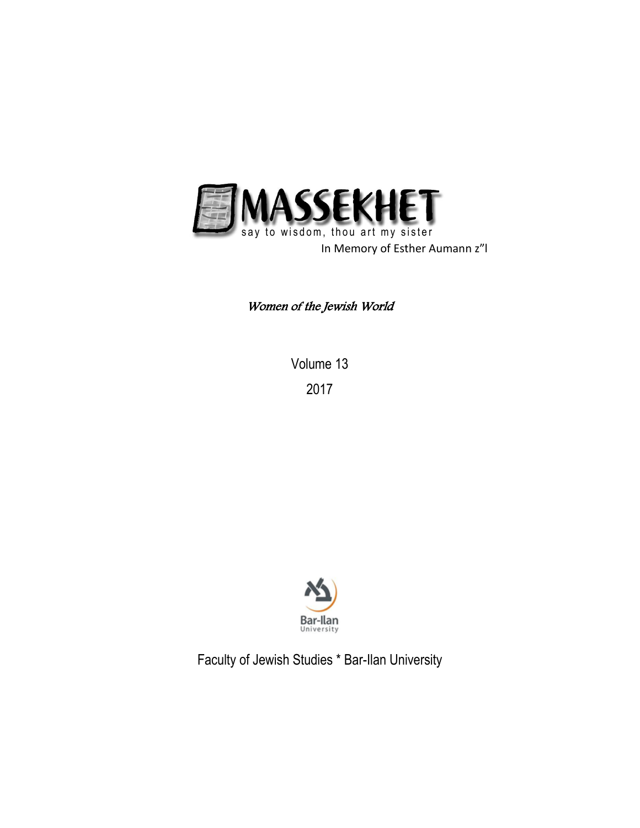

Women of the Jewish World

Volume 13 2017



Faculty of Jewish Studies \* Bar-Ilan University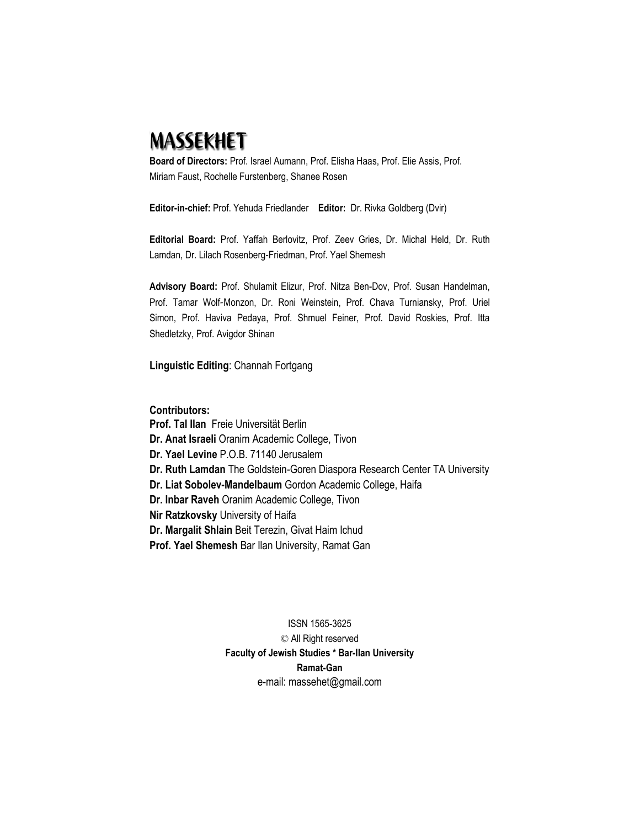# **MASSEKHET**

**Board of Directors:** Prof. Israel Aumann, Prof. Elisha Haas, Prof. Elie Assis, Prof. Miriam Faust, Rochelle Furstenberg, Shanee Rosen

**Editor-in-chief:** Prof. Yehuda Friedlander **Editor:** Dr. Rivka Goldberg (Dvir)

**Editorial Board:** Prof. Yaffah Berlovitz, Prof. Zeev Gries, Dr. Michal Held, Dr. Ruth Lamdan, Dr. Lilach Rosenberg-Friedman, Prof. Yael Shemesh

**Advisory Board:** Prof. Shulamit Elizur, Prof. Nitza Ben-Dov, Prof. Susan Handelman, Prof. Tamar Wolf-Monzon, Dr. Roni Weinstein, Prof. Chava Turniansky, Prof. Uriel Simon, Prof. Haviva Pedaya, Prof. Shmuel Feiner, Prof. David Roskies, Prof. Itta Shedletzky, Prof. Avigdor Shinan

**Linguistic Editing**: Channah Fortgang

# **Contributors:**

**Prof. Tal Ilan** Freie Universität Berlin **Dr. Anat Israeli** Oranim Academic College, Tivon **Dr. Yael Levine** P.O.B. 71140 Jerusalem **Dr. Ruth Lamdan** The Goldstein-Goren Diaspora Research Center TA University **Dr. Liat Sobolev-Mandelbaum** Gordon Academic College, Haifa **Dr. Inbar Raveh** Oranim Academic College, Tivon **Nir Ratzkovsky** University of Haifa **Dr. Margalit Shlain** Beit Terezin, Givat Haim Ichud **Prof. Yael Shemesh** Bar Ilan University, Ramat Gan

> ISSN 1565-3625 © All Right reserved **Faculty of Jewish Studies \* Bar-Ilan University Ramat-Gan** e-mail: massehet@gmail.com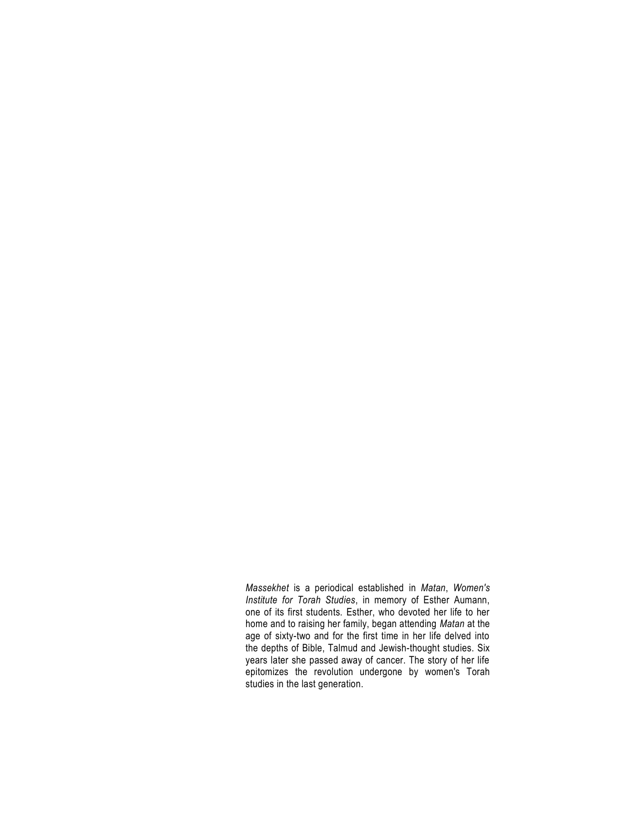*Massekhet* is a periodical established in *Matan*, *Women's Institute for Torah Studies*, in memory of Esther Aumann, one of its first students. Esther, who devoted her life to her home and to raising her family, began attending *Matan* at the age of sixty-two and for the first time in her life delved into the depths of Bible, Talmud and Jewish-thought studies. Six years later she passed away of cancer. The story of her life epitomizes the revolution undergone by women's Torah studies in the last generation.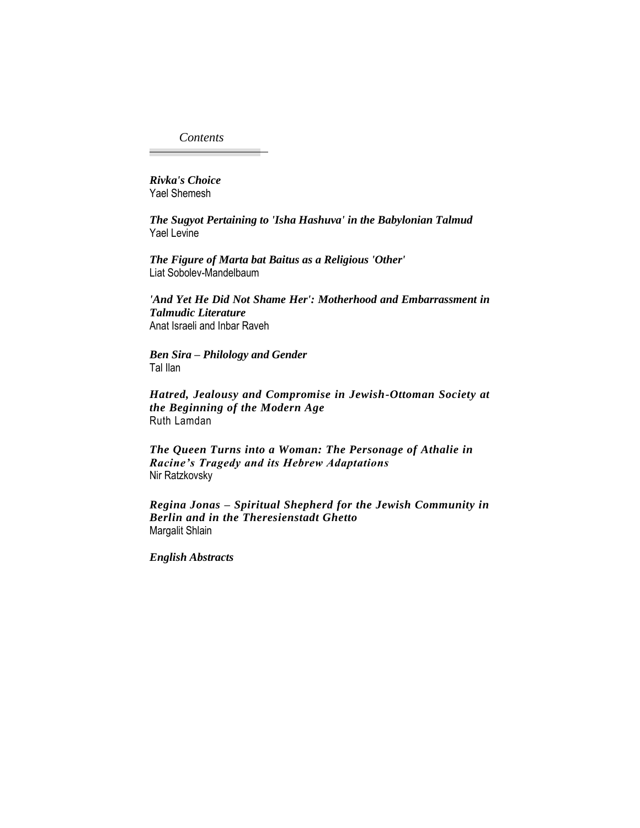*Contents*

*Rivka's Choice* Yael Shemesh

*The Sugyot Pertaining to 'Isha Hashuva' in the Babylonian Talmud* Yael Levine

*The Figure of Marta bat Baitus as a Religious 'Other'* Liat Sobolev-Mandelbaum

*'And Yet He Did Not Shame Her': Motherhood and Embarrassment in Talmudic Literature* Anat Israeli and Inbar Raveh

*Ben Sira – Philology and Gender* Tal Ilan

*Hatred, Jealousy and Compromise in Jewish-Ottoman Society at the Beginning of the Modern Age* Ruth Lamdan

*The Queen Turns into a Woman: The Personage of Athalie in Racine's Tragedy and its Hebrew Adaptations* Nir Ratzkovsky

*Regina Jonas – Spiritual Shepherd for the Jewish Community in Berlin and in the Theresienstadt Ghetto* Margalit Shlain

*English Abstracts*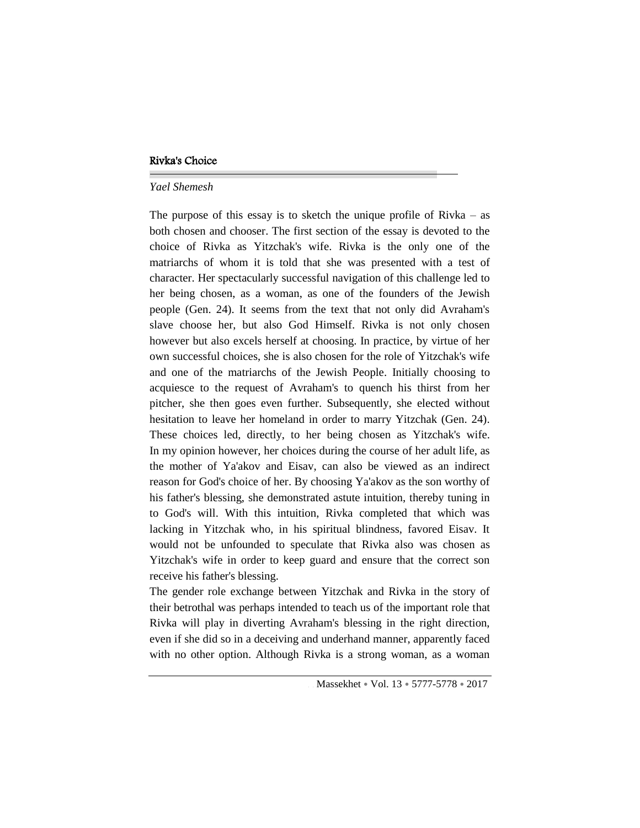## Rivka's Choice

#### *Yael Shemesh*

The purpose of this essay is to sketch the unique profile of Rivka – as both chosen and chooser. The first section of the essay is devoted to the choice of Rivka as Yitzchak's wife. Rivka is the only one of the matriarchs of whom it is told that she was presented with a test of character. Her spectacularly successful navigation of this challenge led to her being chosen, as a woman, as one of the founders of the Jewish people (Gen. 24). It seems from the text that not only did Avraham's slave choose her, but also God Himself. Rivka is not only chosen however but also excels herself at choosing. In practice, by virtue of her own successful choices, she is also chosen for the role of Yitzchak's wife and one of the matriarchs of the Jewish People. Initially choosing to acquiesce to the request of Avraham's to quench his thirst from her pitcher, she then goes even further. Subsequently, she elected without hesitation to leave her homeland in order to marry Yitzchak (Gen. 24). These choices led, directly, to her being chosen as Yitzchak's wife. In my opinion however, her choices during the course of her adult life, as the mother of Ya'akov and Eisav, can also be viewed as an indirect reason for God's choice of her. By choosing Ya'akov as the son worthy of his father's blessing, she demonstrated astute intuition, thereby tuning in to God's will. With this intuition, Rivka completed that which was lacking in Yitzchak who, in his spiritual blindness, favored Eisav. It would not be unfounded to speculate that Rivka also was chosen as Yitzchak's wife in order to keep guard and ensure that the correct son receive his father's blessing.

The gender role exchange between Yitzchak and Rivka in the story of their betrothal was perhaps intended to teach us of the important role that Rivka will play in diverting Avraham's blessing in the right direction, even if she did so in a deceiving and underhand manner, apparently faced with no other option. Although Rivka is a strong woman, as a woman

Massekhet • Vol. 13 • 5777-5778 • 2017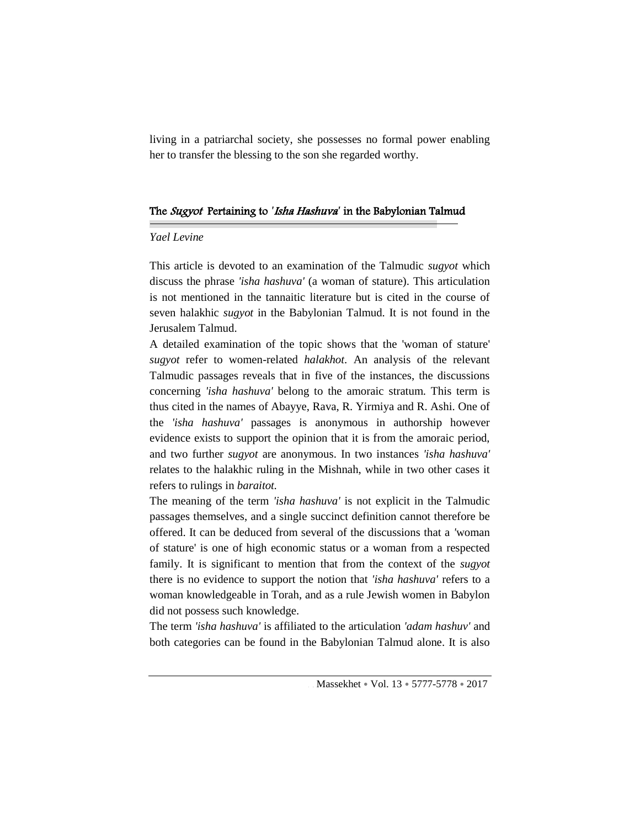living in a patriarchal society, she possesses no formal power enabling her to transfer the blessing to the son she regarded worthy.

#### The Sugyot Pertaining to *'*Isha Hashuva*'* in the Babylonian Talmud

# *Yael Levine*

This article is devoted to an examination of the Talmudic *sugyot* which discuss the phrase *'isha hashuva'* (a woman of stature). This articulation is not mentioned in the tannaitic literature but is cited in the course of seven halakhic *sugyot* in the Babylonian Talmud. It is not found in the Jerusalem Talmud.

A detailed examination of the topic shows that the 'woman of stature' *sugyot* refer to women-related *halakhot*. An analysis of the relevant Talmudic passages reveals that in five of the instances, the discussions concerning *'isha hashuva'* belong to the amoraic stratum. This term is thus cited in the names of Abayye, Rava, R. Yirmiya and R. Ashi. One of the *'isha hashuva'* passages is anonymous in authorship however evidence exists to support the opinion that it is from the amoraic period, and two further *sugyot* are anonymous. In two instances *'isha hashuva'* relates to the halakhic ruling in the Mishnah, while in two other cases it refers to rulings in *baraitot.*

The meaning of the term *'isha hashuva'* is not explicit in the Talmudic passages themselves, and a single succinct definition cannot therefore be offered. It can be deduced from several of the discussions that a *'*woman of stature' is one of high economic status or a woman from a respected family. It is significant to mention that from the context of the *sugyot* there is no evidence to support the notion that *'isha hashuva'* refers to a woman knowledgeable in Torah, and as a rule Jewish women in Babylon did not possess such knowledge.

The term *'isha hashuva'* is affiliated to the articulation *'adam hashuv'* and both categories can be found in the Babylonian Talmud alone. It is also

Massekhet • Vol. 13 • 5777-5778 • 2017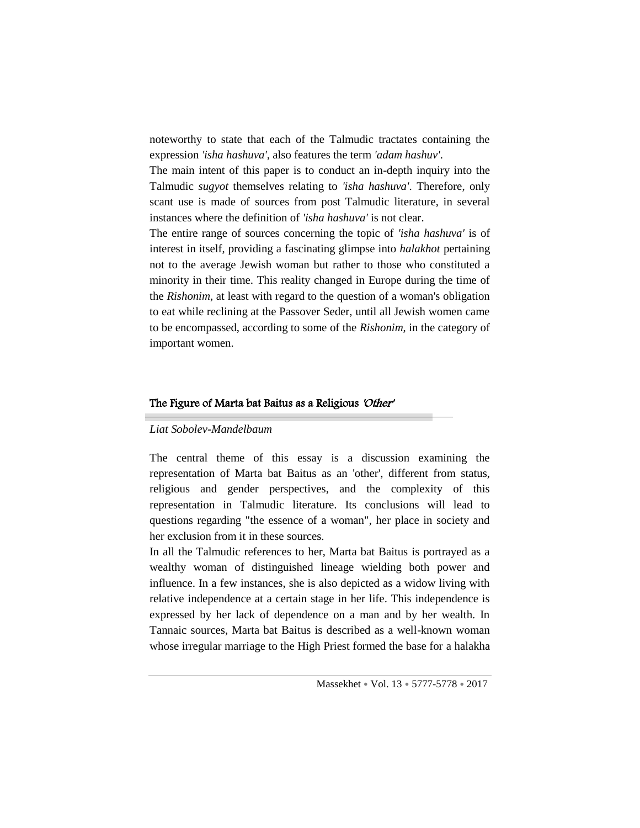noteworthy to state that each of the Talmudic tractates containing the expression *'isha hashuva'*, also features the term *'adam hashuv'*.

The main intent of this paper is to conduct an in-depth inquiry into the Talmudic *sugyot* themselves relating to *'isha hashuva'*. Therefore, only scant use is made of sources from post Talmudic literature, in several instances where the definition of *'isha hashuva'* is not clear.

The entire range of sources concerning the topic of *'isha hashuva'* is of interest in itself, providing a fascinating glimpse into *halakhot* pertaining not to the average Jewish woman but rather to those who constituted a minority in their time. This reality changed in Europe during the time of the *Rishonim*, at least with regard to the question of a woman's obligation to eat while reclining at the Passover Seder, until all Jewish women came to be encompassed, according to some of the *Rishonim*, in the category of important women.

#### The Figure of Marta bat Baitus as a Religious 'Other'

#### *Liat Sobolev-Mandelbaum*

The central theme of this essay is a discussion examining the representation of Marta bat Baitus as an 'other', different from status, religious and gender perspectives, and the complexity of this representation in Talmudic literature. Its conclusions will lead to questions regarding "the essence of a woman", her place in society and her exclusion from it in these sources.

In all the Talmudic references to her, Marta bat Baitus is portrayed as a wealthy woman of distinguished lineage wielding both power and influence. In a few instances, she is also depicted as a widow living with relative independence at a certain stage in her life. This independence is expressed by her lack of dependence on a man and by her wealth. In Tannaic sources, Marta bat Baitus is described as a well-known woman whose irregular marriage to the High Priest formed the base for a halakha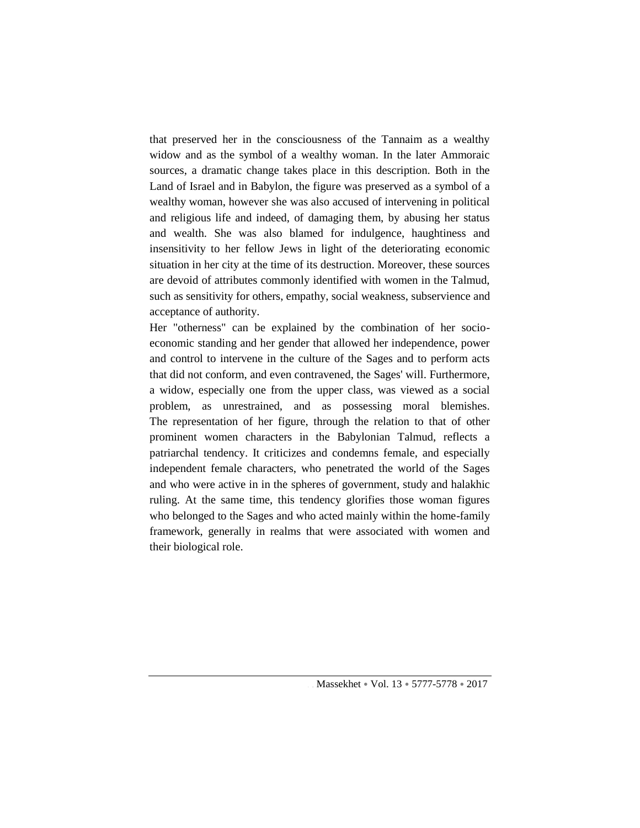that preserved her in the consciousness of the Tannaim as a wealthy widow and as the symbol of a wealthy woman. In the later Ammoraic sources, a dramatic change takes place in this description. Both in the Land of Israel and in Babylon, the figure was preserved as a symbol of a wealthy woman, however she was also accused of intervening in political and religious life and indeed, of damaging them, by abusing her status and wealth. She was also blamed for indulgence, haughtiness and insensitivity to her fellow Jews in light of the deteriorating economic situation in her city at the time of its destruction. Moreover, these sources are devoid of attributes commonly identified with women in the Talmud, such as sensitivity for others, empathy, social weakness, subservience and acceptance of authority.

Her "otherness" can be explained by the combination of her socioeconomic standing and her gender that allowed her independence, power and control to intervene in the culture of the Sages and to perform acts that did not conform, and even contravened, the Sages' will. Furthermore, a widow, especially one from the upper class, was viewed as a social problem, as unrestrained, and as possessing moral blemishes. The representation of her figure, through the relation to that of other prominent women characters in the Babylonian Talmud, reflects a patriarchal tendency. It criticizes and condemns female, and especially independent female characters, who penetrated the world of the Sages and who were active in in the spheres of government, study and halakhic ruling. At the same time, this tendency glorifies those woman figures who belonged to the Sages and who acted mainly within the home-family framework, generally in realms that were associated with women and their biological role.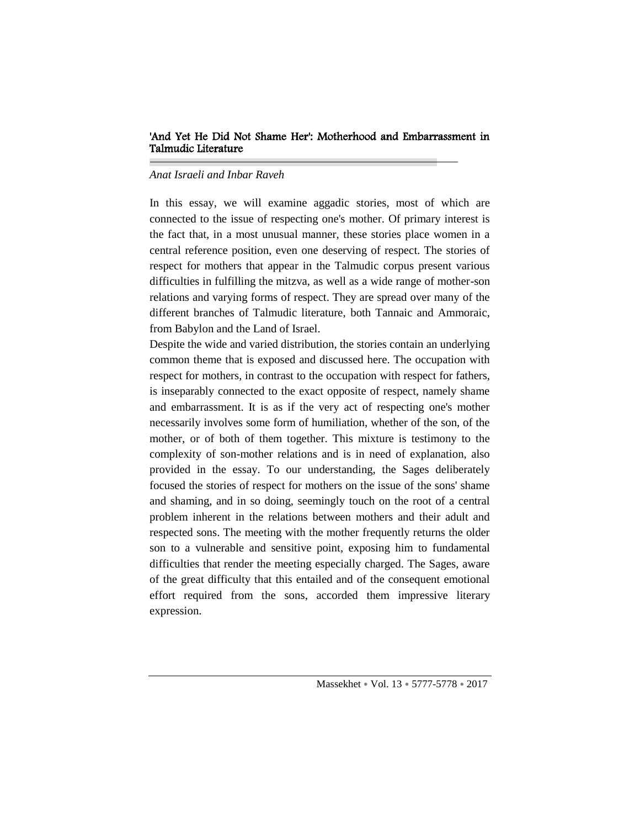# 'And Yet He Did Not Shame Her': Motherhood and Embarrassment in Talmudic Literature

### *Anat Israeli and Inbar Raveh*

In this essay, we will examine aggadic stories, most of which are connected to the issue of respecting one's mother. Of primary interest is the fact that, in a most unusual manner, these stories place women in a central reference position, even one deserving of respect. The stories of respect for mothers that appear in the Talmudic corpus present various difficulties in fulfilling the mitzva, as well as a wide range of mother-son relations and varying forms of respect. They are spread over many of the different branches of Talmudic literature, both Tannaic and Ammoraic, from Babylon and the Land of Israel.

Despite the wide and varied distribution, the stories contain an underlying common theme that is exposed and discussed here. The occupation with respect for mothers, in contrast to the occupation with respect for fathers, is inseparably connected to the exact opposite of respect, namely shame and embarrassment. It is as if the very act of respecting one's mother necessarily involves some form of humiliation, whether of the son, of the mother, or of both of them together. This mixture is testimony to the complexity of son-mother relations and is in need of explanation, also provided in the essay. To our understanding, the Sages deliberately focused the stories of respect for mothers on the issue of the sons' shame and shaming, and in so doing, seemingly touch on the root of a central problem inherent in the relations between mothers and their adult and respected sons. The meeting with the mother frequently returns the older son to a vulnerable and sensitive point, exposing him to fundamental difficulties that render the meeting especially charged. The Sages, aware of the great difficulty that this entailed and of the consequent emotional effort required from the sons, accorded them impressive literary expression.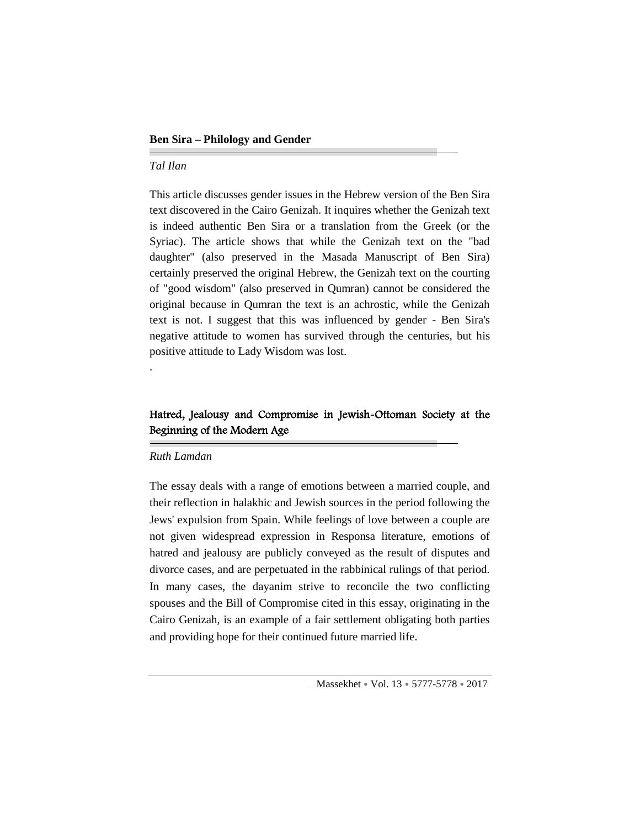# *Tal Ilan*

This article discusses gender issues in the Hebrew version of the Ben Sira text discovered in the Cairo Genizah. It inquires whether the Genizah text is indeed authentic Ben Sira or a translation from the Greek (or the Syriac). The article shows that while the Genizah text on the "bad daughter" (also preserved in the Masada Manuscript of Ben Sira) certainly preserved the original Hebrew, the Genizah text on the courting of "good wisdom" (also preserved in Qumran) cannot be considered the original because in Qumran the text is an achrostic, while the Genizah text is not. I suggest that this was influenced by gender - Ben Sira's negative attitude to women has survived through the centuries, but his positive attitude to Lady Wisdom was lost.

# Hatred, Jealousy and Compromise in Jewish-Ottoman Society at the Beginning of the Modern Age

#### *Ruth Lamdan*

.

The essay deals with a range of emotions between a married couple, and their reflection in halakhic and Jewish sources in the period following the Jews' expulsion from Spain. While feelings of love between a couple are not given widespread expression in Responsa literature, emotions of hatred and jealousy are publicly conveyed as the result of disputes and divorce cases, and are perpetuated in the rabbinical rulings of that period. In many cases, the dayanim strive to reconcile the two conflicting spouses and the Bill of Compromise cited in this essay, originating in the Cairo Genizah, is an example of a fair settlement obligating both parties and providing hope for their continued future married life.

Massekhet • Vol. 13 • 5777-5778 • 2017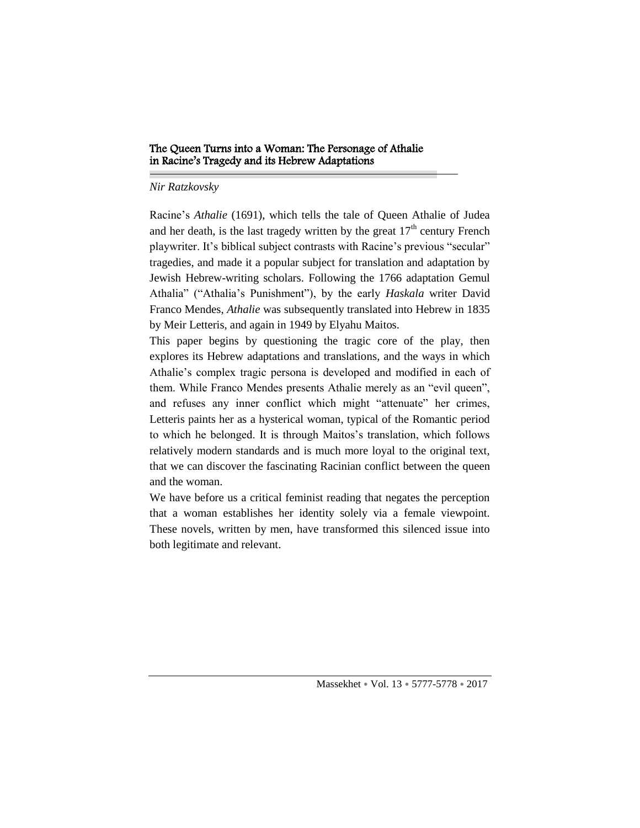## The Queen Turns into a Woman: The Personage of Athalie in Racine's Tragedy and its Hebrew Adaptations

#### *Nir Ratzkovsky*

Racine's *Athalie* (1691), which tells the tale of Queen Athalie of Judea and her death, is the last tragedy written by the great  $17<sup>th</sup>$  century French playwriter. It's biblical subject contrasts with Racine's previous "secular" tragedies, and made it a popular subject for translation and adaptation by Jewish Hebrew-writing scholars. Following the 1766 adaptation Gemul Athalia" ("Athalia's Punishment"), by the early *Haskala* writer David Franco Mendes, *Athalie* was subsequently translated into Hebrew in 1835 by Meir Letteris, and again in 1949 by Elyahu Maitos.

This paper begins by questioning the tragic core of the play, then explores its Hebrew adaptations and translations, and the ways in which Athalie's complex tragic persona is developed and modified in each of them. While Franco Mendes presents Athalie merely as an "evil queen", and refuses any inner conflict which might "attenuate" her crimes, Letteris paints her as a hysterical woman, typical of the Romantic period to which he belonged. It is through Maitos's translation, which follows relatively modern standards and is much more loyal to the original text, that we can discover the fascinating Racinian conflict between the queen and the woman.

We have before us a critical feminist reading that negates the perception that a woman establishes her identity solely via a female viewpoint. These novels, written by men, have transformed this silenced issue into both legitimate and relevant.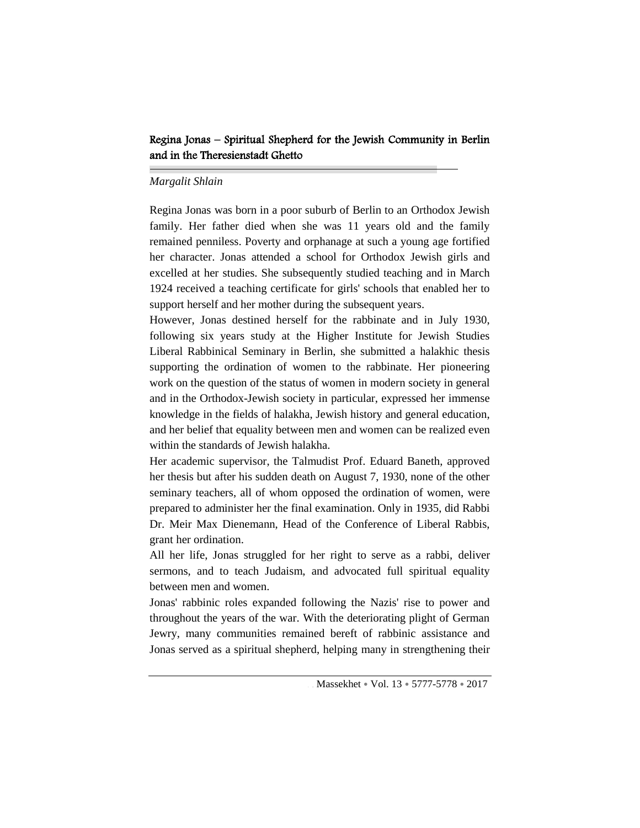# Regina Jonas – Spiritual Shepherd for the Jewish Community in Berlin and in the Theresienstadt Ghetto

#### *Margalit Shlain*

Regina Jonas was born in a poor suburb of Berlin to an Orthodox Jewish family. Her father died when she was 11 years old and the family remained penniless. Poverty and orphanage at such a young age fortified her character. Jonas attended a school for Orthodox Jewish girls and excelled at her studies. She subsequently studied teaching and in March 1924 received a teaching certificate for girls' schools that enabled her to support herself and her mother during the subsequent years.

However, Jonas destined herself for the rabbinate and in July 1930, following six years study at the Higher Institute for Jewish Studies Liberal Rabbinical Seminary in Berlin, she submitted a halakhic thesis supporting the ordination of women to the rabbinate. Her pioneering work on the question of the status of women in modern society in general and in the Orthodox-Jewish society in particular, expressed her immense knowledge in the fields of halakha, Jewish history and general education, and her belief that equality between men and women can be realized even within the standards of Jewish halakha.

Her academic supervisor, the Talmudist Prof. Eduard Baneth, approved her thesis but after his sudden death on August 7, 1930, none of the other seminary teachers, all of whom opposed the ordination of women, were prepared to administer her the final examination. Only in 1935, did Rabbi Dr. Meir Max Dienemann, Head of the Conference of Liberal Rabbis, grant her ordination.

All her life, Jonas struggled for her right to serve as a rabbi, deliver sermons, and to teach Judaism, and advocated full spiritual equality between men and women.

Jonas' rabbinic roles expanded following the Nazis' rise to power and throughout the years of the war. With the deteriorating plight of German Jewry, many communities remained bereft of rabbinic assistance and Jonas served as a spiritual shepherd, helping many in strengthening their

Massekhet • Vol. 13 • 5777-5778 • 2017